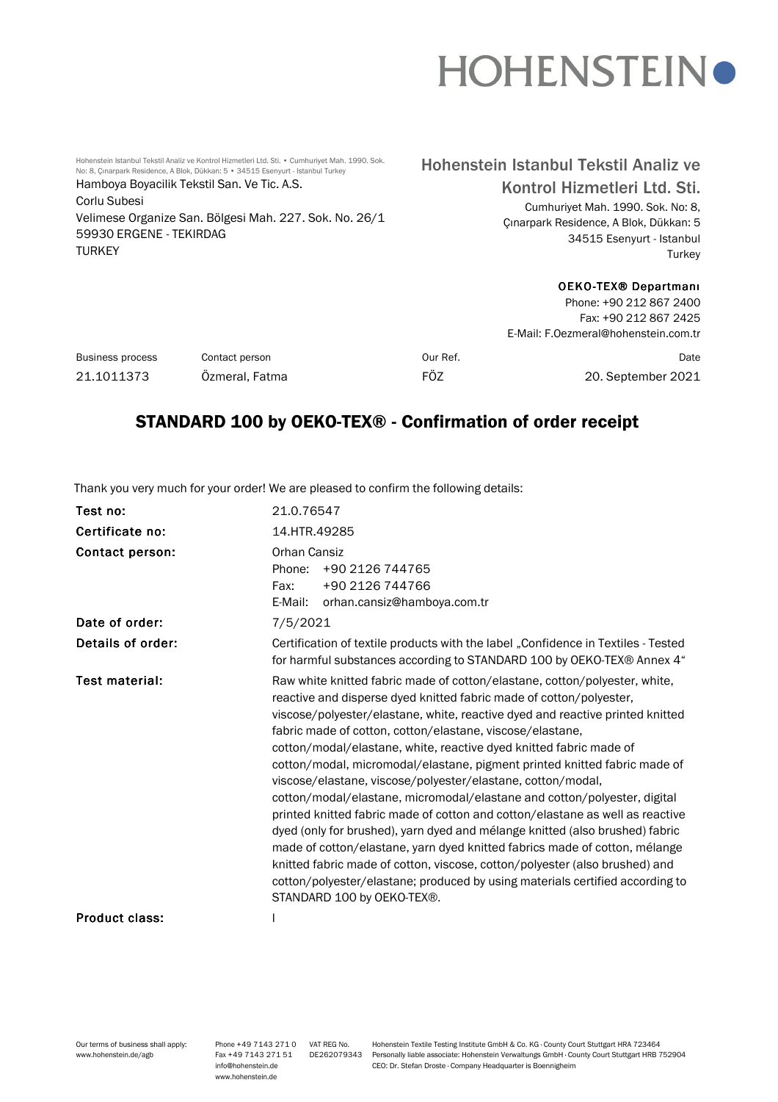# **HOHENSTEINO**

Hohenstein Istanbul Tekstil Analiz ve Kontrol Hizmetleri Ltd. Sti. • Cumhuriyet Mah. 1990. Sok. No: 8, Çınarpark Residence, A Blok, Dükkan: 5 • 34515 Esenyurt - Istanbul Turkey Hamboya Boyacilik Tekstil San. Ve Tic. A.S. Corlu Subesi Velimese Organize San. Bölgesi Mah. 227. Sok. No. 26/1 59930 ERGENE - TEKIRDAG **TURKEY** 

## Hohenstein Istanbul Tekstil Analiz ve Kontrol Hizmetleri Ltd. Sti.

Cumhuriyet Mah. 1990. Sok. No: 8, Çınarpark Residence, A Blok, Dükkan: 5 34515 Esenyurt - Istanbul **Turkey** 

#### OEKO-TEX® Departmanı Phone: +90 212 867 2400

|                  |                |          | Fax: +90 212 867 2425                |
|------------------|----------------|----------|--------------------------------------|
|                  |                |          | E-Mail: F.Oezmeral@hohenstein.com.tr |
| Business process | Contact person | Our Ref. | Date                                 |
| 21.1011373       | Özmeral, Fatma | FÖZ      | 20. September 2021                   |

## STANDARD 100 by OEKO-TEX® - Confirmation of order receipt

Thank you very much for your order! We are pleased to confirm the following details:

| Test no:              | 21.0.76547                                                                                                                                                                                                                                                                                                                                                                                                                                                                                                                                                                                                                                                                                                                                                                                                                                                                                                                                                                                                                                 |  |
|-----------------------|--------------------------------------------------------------------------------------------------------------------------------------------------------------------------------------------------------------------------------------------------------------------------------------------------------------------------------------------------------------------------------------------------------------------------------------------------------------------------------------------------------------------------------------------------------------------------------------------------------------------------------------------------------------------------------------------------------------------------------------------------------------------------------------------------------------------------------------------------------------------------------------------------------------------------------------------------------------------------------------------------------------------------------------------|--|
| Certificate no:       | 14.HTR.49285                                                                                                                                                                                                                                                                                                                                                                                                                                                                                                                                                                                                                                                                                                                                                                                                                                                                                                                                                                                                                               |  |
| Contact person:       | Orhan Cansiz<br>Phone:<br>+90 2126 744765<br>Fax:<br>+90 2126 744766<br>E-Mail:<br>orhan.cansiz@hamboya.com.tr                                                                                                                                                                                                                                                                                                                                                                                                                                                                                                                                                                                                                                                                                                                                                                                                                                                                                                                             |  |
| Date of order:        | 7/5/2021                                                                                                                                                                                                                                                                                                                                                                                                                                                                                                                                                                                                                                                                                                                                                                                                                                                                                                                                                                                                                                   |  |
| Details of order:     | Certification of textile products with the label "Confidence in Textiles - Tested<br>for harmful substances according to STANDARD 100 by OEKO-TEX® Annex 4"                                                                                                                                                                                                                                                                                                                                                                                                                                                                                                                                                                                                                                                                                                                                                                                                                                                                                |  |
| <b>Test material:</b> | Raw white knitted fabric made of cotton/elastane, cotton/polyester, white,<br>reactive and disperse dyed knitted fabric made of cotton/polyester,<br>viscose/polyester/elastane, white, reactive dyed and reactive printed knitted<br>fabric made of cotton, cotton/elastane, viscose/elastane,<br>cotton/modal/elastane, white, reactive dyed knitted fabric made of<br>cotton/modal, micromodal/elastane, pigment printed knitted fabric made of<br>viscose/elastane, viscose/polyester/elastane, cotton/modal,<br>cotton/modal/elastane, micromodal/elastane and cotton/polyester, digital<br>printed knitted fabric made of cotton and cotton/elastane as well as reactive<br>dyed (only for brushed), yarn dyed and mélange knitted (also brushed) fabric<br>made of cotton/elastane, yarn dyed knitted fabrics made of cotton, mélange<br>knitted fabric made of cotton, viscose, cotton/polyester (also brushed) and<br>cotton/polyester/elastane; produced by using materials certified according to<br>STANDARD 100 by OEKO-TEX®. |  |
| <b>Product class:</b> |                                                                                                                                                                                                                                                                                                                                                                                                                                                                                                                                                                                                                                                                                                                                                                                                                                                                                                                                                                                                                                            |  |

Product class: